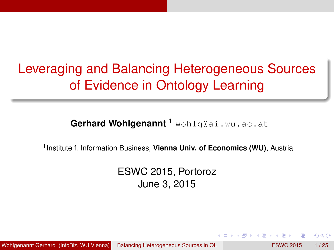# Leveraging and Balancing Heterogeneous Sources of Evidence in Ontology Learning

**Gerhard Wohlgenannt** <sup>1</sup> wohlg@ai.wu.ac.at

1 Institute f. Information Business, **Vienna Univ. of Economics (WU)**, Austria

<span id="page-0-0"></span>ESWC 2015, Portoroz June 3, 2015

Wohlgenannt Gerhard (InfoBiz, WU Vienna) [Balancing Heterogeneous Sources in OL](#page-24-0) **ESWC 2015** 1/25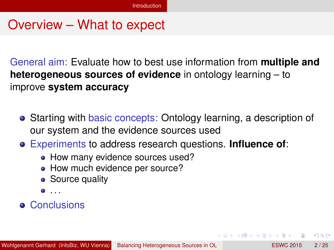#### Overview – What to expect

General aim: Evaluate how to best use information from **multiple and heterogeneous sources of evidence** in ontology learning – to improve **system accuracy**

- Starting with basic concepts: Ontology learning, a description of our system and the evidence sources used
- Experiments to address research questions. **Influence of**:
	- How many evidence sources used?
	- How much evidence per source?
	- **•** Source quality
	- $\bullet$  . . .

#### **• Conclusions**

<span id="page-1-0"></span> $\Omega$ 

イロト イ押ト イヨト イヨト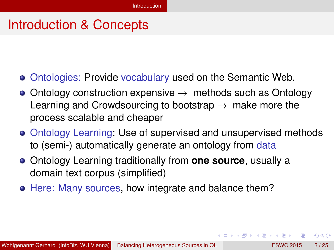## Introduction & Concepts

- Ontologies: Provide vocabulary used on the Semantic Web.
- Ontology construction expensive  $\rightarrow$  methods such as Ontology Learning and Crowdsourcing to bootstrap  $\rightarrow$  make more the process scalable and cheaper
- Ontology Learning: Use of supervised and unsupervised methods to (semi-) automatically generate an ontology from data
- Ontology Learning traditionally from **one source**, usually a domain text corpus (simplified)
- Here: Many sources, how integrate and balance them?

<span id="page-2-0"></span> $\Omega$ 

イロト イ押 トイラト イラト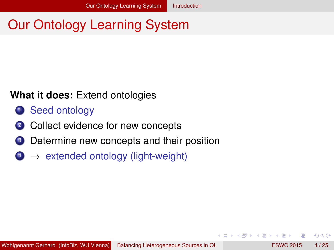# Our Ontology Learning System

#### **What it does:** Extend ontologies

- **1** Seed ontology
- 2 Collect evidence for new concepts
- <sup>3</sup> Determine new concepts and their position
- $4 \rightarrow$  extended ontology (light-weight)

<span id="page-3-0"></span> $\Omega$ 

医单位 医单

 $1.71 \times 1.71 \times$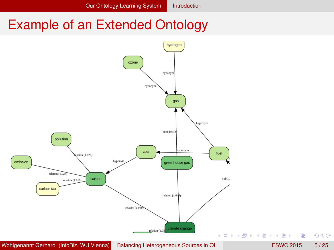## Example of an Extended Ontology

<span id="page-4-0"></span>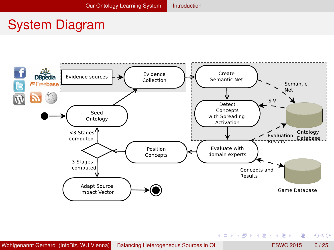## System Diagram





<span id="page-5-0"></span> $299$ 

メロトメ 御 トメ 君 トメ 君 ト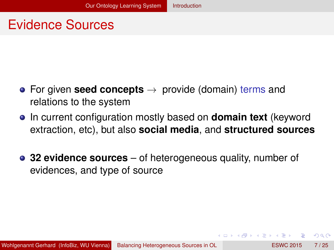#### Evidence Sources

- For given **seed concepts** → provide (domain) terms and relations to the system
- **•** In current configuration mostly based on **domain text** (keyword extraction, etc), but also **social media**, and **structured sources**
- **32 evidence sources** of heterogeneous quality, number of evidences, and type of source

<span id="page-6-0"></span> $\Omega$ 

医单侧 医单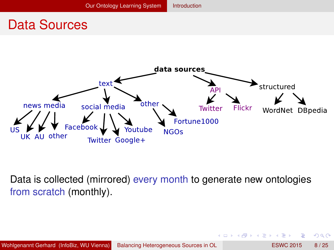### Data Sources



Data is collected (mirrored) every month to generate new ontologies from scratch (monthly).

4 17 18

<span id="page-7-0"></span>不同 医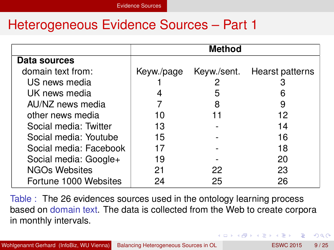#### Heterogeneous Evidence Sources – Part 1

|                        | Method     |             |                 |
|------------------------|------------|-------------|-----------------|
| Data sources           |            |             |                 |
| domain text from:      | Keyw./page | Keyw./sent. | Hearst patterns |
| US news media          |            |             |                 |
| UK news media          |            | 5           |                 |
| AU/NZ news media       |            |             |                 |
| other news media       | 10         |             | 12              |
| Social media: Twitter  | 13         |             | 14              |
| Social media: Youtube  | 15         |             | 16              |
| Social media: Facebook | 17         |             | 18              |
| Social media: Google+  | 19         |             | 20              |
| NGOs Websites          | 21         | 22          | 23              |
| Fortune 1000 Websites  | 24         | 25          | 26              |

Table : The 26 evidences sources used in the ontology learning process based on domain text. The data is collected from the Web to create corpora in monthly intervals.

<span id="page-8-0"></span> $\Omega$ 

**K ロ ト K 伺 ト K ヨ ト K**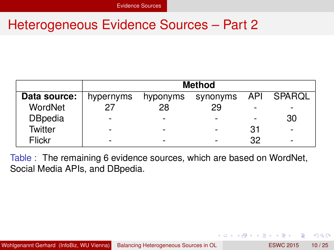#### Heterogeneous Evidence Sources – Part 2

|                | <b>Method</b>            |          |                     |    |    |
|----------------|--------------------------|----------|---------------------|----|----|
| Data source:   | hypernyms                | hyponyms | synonyms API SPARQL |    |    |
| WordNet        | 27                       | 28       | 29                  |    |    |
| <b>DBpedia</b> | $\overline{\phantom{0}}$ |          |                     |    | 30 |
| <b>Twitter</b> |                          |          |                     | 31 |    |
| Flickr         |                          |          |                     | 32 |    |

Table : The remaining 6 evidence sources, which are based on WordNet, Social Media APIs, and DBpedia.

4 0 8

<span id="page-9-0"></span> $\left\{ \left. \left( \mathsf{d} \mathsf{d} \right) \right| \times \left\{ \left( \mathsf{d} \right) \right| \times \left( \mathsf{d} \right) \right\}$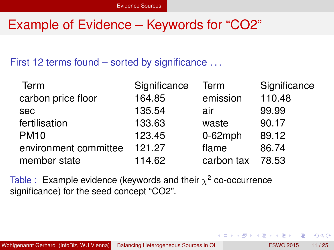## Example of Evidence – Keywords for "CO2"

First 12 terms found – sorted by significance . . .

| Term                  | Significance | Term       | Significance |
|-----------------------|--------------|------------|--------------|
| carbon price floor    | 164.85       | emission   | 110.48       |
| sec                   | 135.54       | air        | 99.99        |
| fertilisation         | 133.63       | waste      | 90.17        |
| <b>PM10</b>           | 123.45       | $0-62$ mph | 89.12        |
| environment committee | 121.27       | flame      | 86.74        |
| member state          | 114.62       | carbon tax | 78.53        |

 $A \cap \overline{B} \rightarrow A \Rightarrow A \Rightarrow A \Rightarrow B$ 

<span id="page-10-0"></span> $\Omega$ 

Table : Example evidence (keywords and their  $\chi^2$  co-occurrence significance) for the seed concept "CO2".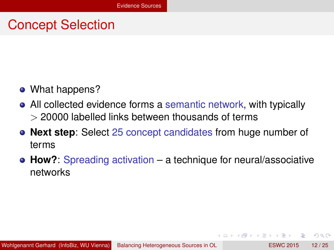## Concept Selection

- What happens?
- All collected evidence forms a semantic network, with typically  $>$  20000 labelled links between thousands of terms
- **Next step**: Select 25 concept candidates from huge number of terms
- **How?**: Spreading activation a technique for neural/associative networks

<span id="page-11-0"></span> $\Omega$ 

 $\overline{AB}$ 

医单侧 医单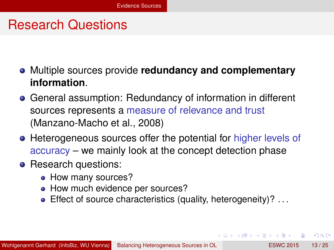#### Research Questions

- Multiple sources provide **redundancy and complementary information**.
- General assumption: Redundancy of information in different sources represents a measure of relevance and trust (Manzano-Macho et al., 2008)
- Heterogeneous sources offer the potential for higher levels of accuracy – we mainly look at the concept detection phase
- Research questions:
	- How many sources?
	- How much evidence per sources?
	- **Effect of source characteristics (quality, heterogeneity)?** ...

<span id="page-12-0"></span>(ロトイ部)→(差)→(差)→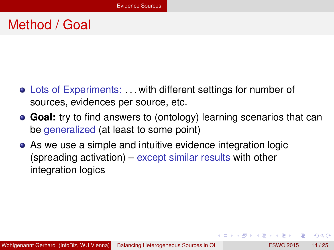## Method / Goal

- Lots of Experiments: . . . with different settings for number of sources, evidences per source, etc.
- **Goal:** try to find answers to (ontology) learning scenarios that can be generalized (at least to some point)
- As we use a simple and intuitive evidence integration logic (spreading activation) – except similar results with other integration logics

<span id="page-13-0"></span> $\Omega$ 

イロト イ押ト イヨト イヨト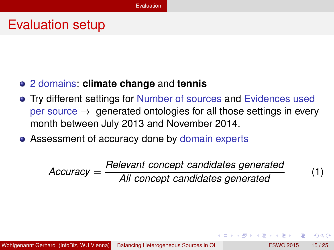#### Evaluation setup

#### 2 domains: **climate change** and **tennis**

- **Try different settings for Number of sources and Evidences used** per source  $\rightarrow$  generated ontologies for all those settings in every month between July 2013 and November 2014.
- Assessment of accuracy done by domain experts

*Accuracy* = *Relevant concept candidates generated All concept candidates generated* (1)

<span id="page-14-0"></span> $\Omega$ 

 $A \equiv A \times A \equiv$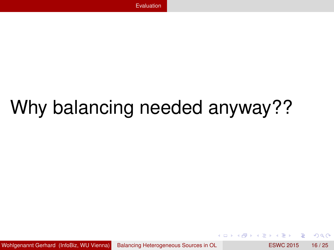# Why balancing needed anyway??

Wohlgenannt Gerhard (InfoBiz, WU Vienna) [Balancing Heterogeneous Sources in OL](#page-0-0) ESWC 2015 16/25

Þ

<span id="page-15-0"></span> $\Omega$ 

医下半面

**COLLA**  $\overline{AB}$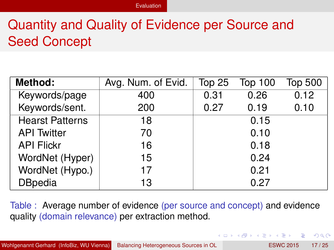## Quantity and Quality of Evidence per Source and Seed Concept

| Method:                | Avg. Num. of Evid. | Top 25 | <b>Top 100</b> | <b>Top 500</b> |
|------------------------|--------------------|--------|----------------|----------------|
| Keywords/page          | 400                | 0.31   | 0.26           | 0.12           |
| Keywords/sent.         | 200                | 0.27   | 0.19           | 0.10           |
| <b>Hearst Patterns</b> | 18                 |        | 0.15           |                |
| <b>API</b> Twitter     | 70                 |        | 0.10           |                |
| <b>API Flickr</b>      | 16                 |        | 0.18           |                |
| WordNet (Hyper)        | 15                 |        | 0.24           |                |
| WordNet (Hypo.)        | 17                 |        | 0.21           |                |
| <b>DBpedia</b>         | 13                 |        | 0.27           |                |

Table : Average number of evidence (per source and concept) and evidence quality (domain relevance) per extraction method.

<span id="page-16-0"></span>イロト イ押ト イヨト イヨト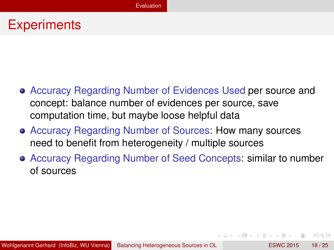#### **Experiments**

- Accuracy Regarding Number of Evidences Used per source and concept: balance number of evidences per source, save computation time, but maybe loose helpful data
- Accuracy Regarding Number of Sources: How many sources need to benefit from heterogeneity / multiple sources
- Accuracy Regarding Number of Seed Concepts: similar to number of sources

<span id="page-17-0"></span> $\Omega$ 

**REPARE** 

 $1.71 \times 1.71 \times$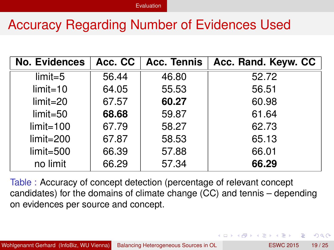## Accuracy Regarding Number of Evidences Used

| <b>No. Evidences</b> | Acc. CC | <b>Acc. Tennis</b> | Acc. Rand. Keyw. CC |
|----------------------|---------|--------------------|---------------------|
| $limit = 5$          | 56.44   | 46.80              | 52.72               |
| $limit = 10$         | 64.05   | 55.53              | 56.51               |
| $limit = 20$         | 67.57   | 60.27              | 60.98               |
| $limit = 50$         | 68.68   | 59.87              | 61.64               |
| $limit = 100$        | 67.79   | 58.27              | 62.73               |
| $limit = 200$        | 67.87   | 58.53              | 65.13               |
| $limit = 500$        | 66.39   | 57.88              | 66.01               |
| no limit             | 66.29   | 57.34              | 66.29               |

Table : Accuracy of concept detection (percentage of relevant concept candidates) for the domains of climate change (CC) and tennis – depending on evidences per source and concept.

<span id="page-18-0"></span> $\Omega$ 

イロト イ押 トイラト イラト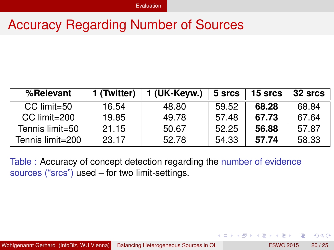#### Accuracy Regarding Number of Sources

| %Relevant        | 1 (Twitter) | 1 (UK-Keyw.) | 5 srcs | 15 srcs | 32 srcs |
|------------------|-------------|--------------|--------|---------|---------|
| CC limit=50      | 16.54       | 48.80        | 59.52  | 68.28   | 68.84   |
| CC limit=200     | 19.85       | 49.78        | 57.48  | 67.73   | 67.64   |
| Tennis limit=50  | 21.15       | 50.67        | 52.25  | 56.88   | 57.87   |
| Tennis limit=200 | 23.17       | 52.78        | 54.33  | 57.74   | 58.33   |

<span id="page-19-0"></span>Table : Accuracy of concept detection regarding the number of evidence sources ("srcs") used – for two limit-settings.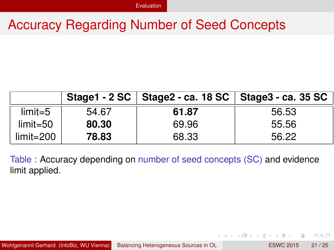### Accuracy Regarding Number of Seed Concepts

|               |       | Stage1 - 2 SC   Stage2 - ca. 18 SC   Stage3 - ca. 35 SC |       |
|---------------|-------|---------------------------------------------------------|-------|
| $limit = 5$   | 54.67 | 61.87                                                   | 56.53 |
| $limit = 50$  | 80.30 | 69.96                                                   | 55.56 |
| $limit = 200$ | 78.83 | 68.33                                                   | 56.22 |

Table : Accuracy depending on number of seed concepts (SC) and evidence limit applied.

<span id="page-20-0"></span> $\Omega$ 

イロト イ押ト イヨト イヨ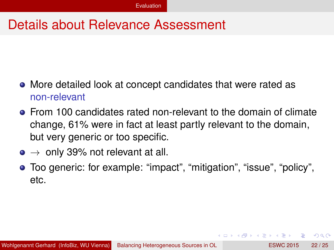### Details about Relevance Assessment

- More detailed look at concept candidates that were rated as non-relevant
- From 100 candidates rated non-relevant to the domain of climate change, 61% were in fact at least partly relevant to the domain, but very generic or too specific.
- $\bullet \rightarrow$  only 39% not relevant at all.
- <span id="page-21-0"></span>Too generic: for example: "impact", "mitigation", "issue", "policy", etc.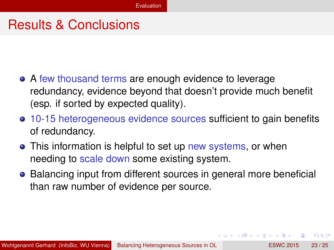#### Results & Conclusions

- A few thousand terms are enough evidence to leverage redundancy, evidence beyond that doesn't provide much benefit (esp. if sorted by expected quality).
- 10-15 heterogeneous evidence sources sufficient to gain benefits of redundancy.
- This information is helpful to set up new systems, or when needing to scale down some existing system.
- Balancing input from different sources in general more beneficial than raw number of evidence per source.

<span id="page-22-0"></span>イロト イ押 トイラト イラト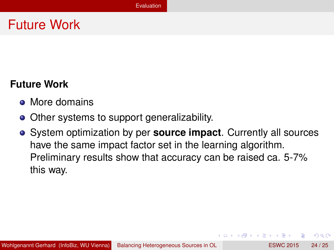## Future Work

#### **Future Work**

- More domains
- Other systems to support generalizability.
- System optimization by per **source impact**. Currently all sources have the same impact factor set in the learning algorithm. Preliminary results show that accuracy can be raised ca. 5-7% this way.

<span id="page-23-0"></span> $A \equiv 0.4 \equiv$